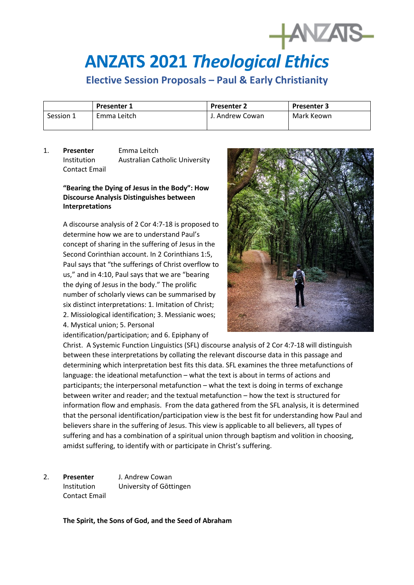## **ANZATS 2021** *Theological Ethics*

## **Elective Session Proposals – Paul & Early Christianity**

|           | <b>Presenter 1</b> | <b>Presenter 2</b> | <b>Presenter 3</b> |
|-----------|--------------------|--------------------|--------------------|
| Session 1 | Emma Leitch        | J. Andrew Cowan    | Mark Keown         |

1. **Presenter** Emma Leitch Institution Australian Catholic University Contact Email

## **"Bearing the Dying of Jesus in the Body": How Discourse Analysis Distinguishes between Interpretations**

A discourse analysis of 2 Cor 4:7-18 is proposed to determine how we are to understand Paul's concept of sharing in the suffering of Jesus in the Second Corinthian account. In 2 Corinthians 1:5, Paul says that "the sufferings of Christ overflow to us," and in 4:10, Paul says that we are "bearing the dying of Jesus in the body." The prolific number of scholarly views can be summarised by six distinct interpretations: 1. Imitation of Christ; 2. Missiological identification; 3. Messianic woes; 4. Mystical union; 5. Personal identification/participation; and 6. Epiphany of



Christ. A Systemic Function Linguistics (SFL) discourse analysis of 2 Cor 4:7-18 will distinguish between these interpretations by collating the relevant discourse data in this passage and determining which interpretation best fits this data. SFL examines the three metafunctions of language: the ideational metafunction – what the text is about in terms of actions and participants; the interpersonal metafunction – what the text is doing in terms of exchange between writer and reader; and the textual metafunction – how the text is structured for information flow and emphasis. From the data gathered from the SFL analysis, it is determined that the personal identification/participation view is the best fit for understanding how Paul and believers share in the suffering of Jesus. This view is applicable to all believers, all types of suffering and has a combination of a spiritual union through baptism and volition in choosing, amidst suffering, to identify with or participate in Christ's suffering.

2. **Presenter** J. Andrew Cowan Institution University of Gōttingen Contact Email

**The Spirit, the Sons of God, and the Seed of Abraham**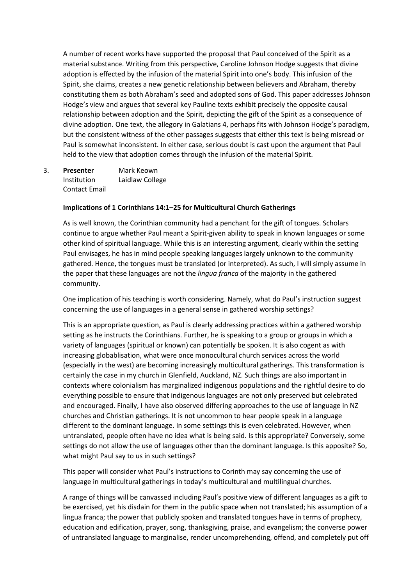A number of recent works have supported the proposal that Paul conceived of the Spirit as a material substance. Writing from this perspective, Caroline Johnson Hodge suggests that divine adoption is effected by the infusion of the material Spirit into one's body. This infusion of the Spirit, she claims, creates a new genetic relationship between believers and Abraham, thereby constituting them as both Abraham's seed and adopted sons of God. This paper addresses Johnson Hodge's view and argues that several key Pauline texts exhibit precisely the opposite causal relationship between adoption and the Spirit, depicting the gift of the Spirit as a consequence of divine adoption. One text, the allegory in Galatians 4, perhaps fits with Johnson Hodge's paradigm, but the consistent witness of the other passages suggests that either this text is being misread or Paul is somewhat inconsistent. In either case, serious doubt is cast upon the argument that Paul held to the view that adoption comes through the infusion of the material Spirit.

3. **Presenter** Mark Keown Institution Laidlaw College Contact Email

## **Implications of 1 Corinthians 14:1–25 for Multicultural Church Gatherings**

As is well known, the Corinthian community had a penchant for the gift of tongues. Scholars continue to argue whether Paul meant a Spirit-given ability to speak in known languages or some other kind of spiritual language. While this is an interesting argument, clearly within the setting Paul envisages, he has in mind people speaking languages largely unknown to the community gathered. Hence, the tongues must be translated (or interpreted). As such, I will simply assume in the paper that these languages are not the *lingua franca* of the majority in the gathered community.

One implication of his teaching is worth considering. Namely, what do Paul's instruction suggest concerning the use of languages in a general sense in gathered worship settings?

This is an appropriate question, as Paul is clearly addressing practices within a gathered worship setting as he instructs the Corinthians. Further, he is speaking to a group or groups in which a variety of languages (spiritual or known) can potentially be spoken. It is also cogent as with increasing globablisation, what were once monocultural church services across the world (especially in the west) are becoming increasingly multicultural gatherings. This transformation is certainly the case in my church in Glenfield, Auckland, NZ. Such things are also important in contexts where colonialism has marginalized indigenous populations and the rightful desire to do everything possible to ensure that indigenous languages are not only preserved but celebrated and encouraged. Finally, I have also observed differing approaches to the use of language in NZ churches and Christian gatherings. It is not uncommon to hear people speak in a language different to the dominant language. In some settings this is even celebrated. However, when untranslated, people often have no idea what is being said. Is this appropriate? Conversely, some settings do not allow the use of languages other than the dominant language. Is this apposite? So, what might Paul say to us in such settings?

This paper will consider what Paul's instructions to Corinth may say concerning the use of language in multicultural gatherings in today's multicultural and multilingual churches.

A range of things will be canvassed including Paul's positive view of different languages as a gift to be exercised, yet his disdain for them in the public space when not translated; his assumption of a lingua franca; the power that publicly spoken and translated tongues have in terms of prophecy, education and edification, prayer, song, thanksgiving, praise, and evangelism; the converse power of untranslated language to marginalise, render uncomprehending, offend, and completely put off